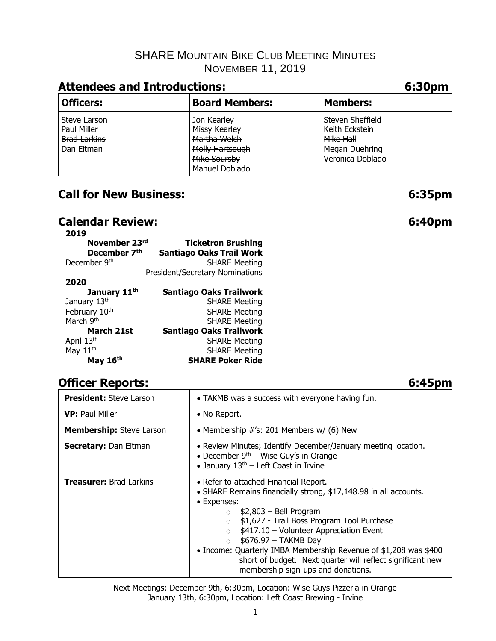# **Attendees and Introductions: 6:30pm**

| <b>Board Members:</b>                                                           | Members:                                                                              |  |  |  |  |  |  |
|---------------------------------------------------------------------------------|---------------------------------------------------------------------------------------|--|--|--|--|--|--|
| Jon Kearley<br>Missy Kearley<br>Martha Welch<br>Molly Hartsough<br>Mike Soursby | Steven Sheffield<br>Keith Eckstein<br>Mike Hall<br>Megan Duehring<br>Veronica Doblado |  |  |  |  |  |  |
|                                                                                 | Manuel Doblado                                                                        |  |  |  |  |  |  |

# **Call for New Business: 6:35pm**

# **Calendar Review: 6:40pm**

| 2019                     |                                 |
|--------------------------|---------------------------------|
| November 23rd            | <b>Ticketron Brushing</b>       |
| December 7th             | <b>Santiago Oaks Trail Work</b> |
| December 9th             | <b>SHARE Meeting</b>            |
|                          | President/Secretary Nominations |
| 2020                     |                                 |
| January 11 <sup>th</sup> | <b>Santiago Oaks Trailwork</b>  |
| January 13th             | <b>SHARE Meeting</b>            |
| February 10th            | <b>SHARE Meeting</b>            |
| March 9th                | <b>SHARE Meeting</b>            |
| March 21st               | Santiago Oaks Trailwork         |
| April 13th               | <b>SHARE Meeting</b>            |
| May 11 <sup>th</sup>     | <b>SHARE Meeting</b>            |
| May 16th                 | <b>SHARE Poker Ride</b>         |

# **Officer Reports: 6:45pm**

| <b>President: Steve Larson</b>  | • TAKMB was a success with everyone having fun.                                                                                                                                                                                                                                                                                                                                                                                                                                         |  |  |  |
|---------------------------------|-----------------------------------------------------------------------------------------------------------------------------------------------------------------------------------------------------------------------------------------------------------------------------------------------------------------------------------------------------------------------------------------------------------------------------------------------------------------------------------------|--|--|--|
| <b>VP:</b> Paul Miller          | • No Report.                                                                                                                                                                                                                                                                                                                                                                                                                                                                            |  |  |  |
| <b>Membership:</b> Steve Larson | • Membership $\#$ 's: 201 Members w/ (6) New                                                                                                                                                                                                                                                                                                                                                                                                                                            |  |  |  |
| Secretary: Dan Eitman           | • Review Minutes; Identify December/January meeting location.<br>• December $9th$ – Wise Guy's in Orange<br>• January $13th$ – Left Coast in Irvine                                                                                                                                                                                                                                                                                                                                     |  |  |  |
| <b>Treasurer: Brad Larkins</b>  | • Refer to attached Financial Report.<br>• SHARE Remains financially strong, \$17,148.98 in all accounts.<br>• Expenses:<br>\$2,803 – Bell Program<br>$\circ$<br>\$1,627 - Trail Boss Program Tool Purchase<br>$\circ$<br>$$417.10 - Volumeer Apprecision Event$<br>$\Omega$<br>\$676.97 - TAKMB Day<br>$\circ$<br>• Income: Quarterly IMBA Membership Revenue of \$1,208 was \$400<br>short of budget. Next quarter will reflect significant new<br>membership sign-ups and donations. |  |  |  |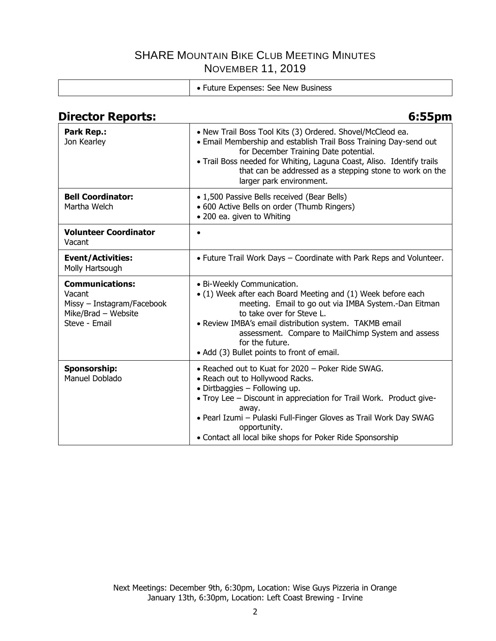| • Future Expenses: See New Business |
|-------------------------------------|

# **Director Reports: 6:55pm**

| Park Rep.:<br>Jon Kearley                                                                              | • New Trail Boss Tool Kits (3) Ordered. Shovel/McCleod ea.<br>• Email Membership and establish Trail Boss Training Day-send out<br>for December Training Date potential.<br>• Trail Boss needed for Whiting, Laguna Coast, Aliso. Identify trails<br>that can be addressed as a stepping stone to work on the<br>larger park environment.                        |
|--------------------------------------------------------------------------------------------------------|------------------------------------------------------------------------------------------------------------------------------------------------------------------------------------------------------------------------------------------------------------------------------------------------------------------------------------------------------------------|
| <b>Bell Coordinator:</b><br>Martha Welch                                                               | • 1,500 Passive Bells received (Bear Bells)<br>• 600 Active Bells on order (Thumb Ringers)<br>• 200 ea. given to Whiting                                                                                                                                                                                                                                         |
| <b>Volunteer Coordinator</b><br>Vacant                                                                 | $\bullet$                                                                                                                                                                                                                                                                                                                                                        |
| <b>Event/Activities:</b><br>Molly Hartsough                                                            | • Future Trail Work Days – Coordinate with Park Reps and Volunteer.                                                                                                                                                                                                                                                                                              |
| <b>Communications:</b><br>Vacant<br>Missy - Instagram/Facebook<br>Mike/Brad - Website<br>Steve - Email | • Bi-Weekly Communication.<br>• (1) Week after each Board Meeting and (1) Week before each<br>meeting. Email to go out via IMBA System.-Dan Eitman<br>to take over for Steve L.<br>• Review IMBA's email distribution system. TAKMB email<br>assessment. Compare to MailChimp System and assess<br>for the future.<br>• Add (3) Bullet points to front of email. |
| <b>Sponsorship:</b><br>Manuel Doblado                                                                  | • Reached out to Kuat for 2020 – Poker Ride SWAG.<br>• Reach out to Hollywood Racks.<br>$\bullet$ Dirtbaggies - Following up.<br>• Troy Lee - Discount in appreciation for Trail Work. Product give-<br>away.<br>· Pearl Izumi - Pulaski Full-Finger Gloves as Trail Work Day SWAG<br>opportunity.<br>• Contact all local bike shops for Poker Ride Sponsorship  |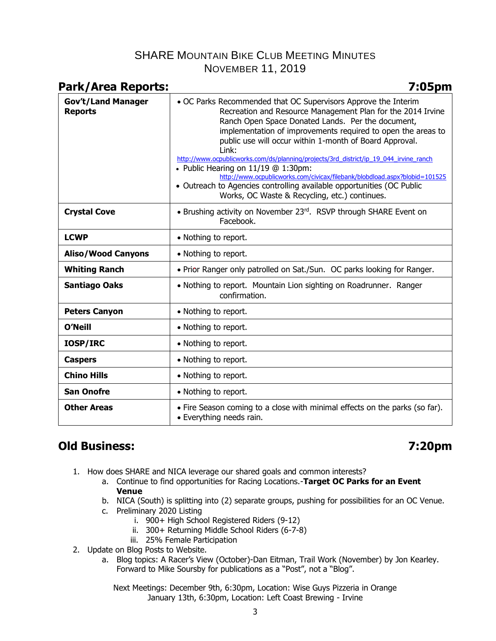| <b>Park/Area Reports:</b>                   | 7:05pm                                                                                                                                                                                                                                                                                                                                                                                                                                                                                                                                                                                                                                                              |
|---------------------------------------------|---------------------------------------------------------------------------------------------------------------------------------------------------------------------------------------------------------------------------------------------------------------------------------------------------------------------------------------------------------------------------------------------------------------------------------------------------------------------------------------------------------------------------------------------------------------------------------------------------------------------------------------------------------------------|
| <b>Gov't/Land Manager</b><br><b>Reports</b> | • OC Parks Recommended that OC Supervisors Approve the Interim<br>Recreation and Resource Management Plan for the 2014 Irvine<br>Ranch Open Space Donated Lands. Per the document,<br>implementation of improvements required to open the areas to<br>public use will occur within 1-month of Board Approval.<br>$1$ ink:<br>http://www.ocpublicworks.com/ds/planning/projects/3rd_district/ip_19_044_irvine_ranch<br>• Public Hearing on $11/19$ @ 1:30pm:<br>http://www.ocpublicworks.com/civicax/filebank/blobdload.aspx?blobid=101525<br>• Outreach to Agencies controlling available opportunities (OC Public<br>Works, OC Waste & Recycling, etc.) continues. |
| <b>Crystal Cove</b>                         | • Brushing activity on November 23rd. RSVP through SHARE Event on<br>Facebook.                                                                                                                                                                                                                                                                                                                                                                                                                                                                                                                                                                                      |
| <b>LCWP</b>                                 | • Nothing to report.                                                                                                                                                                                                                                                                                                                                                                                                                                                                                                                                                                                                                                                |
| <b>Aliso/Wood Canyons</b>                   | • Nothing to report.                                                                                                                                                                                                                                                                                                                                                                                                                                                                                                                                                                                                                                                |
| <b>Whiting Ranch</b>                        | . Prior Ranger only patrolled on Sat./Sun. OC parks looking for Ranger.                                                                                                                                                                                                                                                                                                                                                                                                                                                                                                                                                                                             |
| <b>Santiago Oaks</b>                        | • Nothing to report. Mountain Lion sighting on Roadrunner. Ranger<br>confirmation.                                                                                                                                                                                                                                                                                                                                                                                                                                                                                                                                                                                  |
| <b>Peters Canyon</b>                        | • Nothing to report.                                                                                                                                                                                                                                                                                                                                                                                                                                                                                                                                                                                                                                                |
| <b>O'Neill</b>                              | • Nothing to report.                                                                                                                                                                                                                                                                                                                                                                                                                                                                                                                                                                                                                                                |
| <b>IOSP/IRC</b>                             | • Nothing to report.                                                                                                                                                                                                                                                                                                                                                                                                                                                                                                                                                                                                                                                |
| <b>Caspers</b>                              | • Nothing to report.                                                                                                                                                                                                                                                                                                                                                                                                                                                                                                                                                                                                                                                |
| <b>Chino Hills</b>                          | • Nothing to report.                                                                                                                                                                                                                                                                                                                                                                                                                                                                                                                                                                                                                                                |
| <b>San Onofre</b>                           | • Nothing to report.                                                                                                                                                                                                                                                                                                                                                                                                                                                                                                                                                                                                                                                |
| <b>Other Areas</b>                          | • Fire Season coming to a close with minimal effects on the parks (so far).<br>• Everything needs rain.                                                                                                                                                                                                                                                                                                                                                                                                                                                                                                                                                             |

# **Old Business: 7:20pm**

- 1. How does SHARE and NICA leverage our shared goals and common interests?
	- a. Continue to find opportunities for Racing Locations.-**Target OC Parks for an Event Venue**
	- b. NICA (South) is splitting into (2) separate groups, pushing for possibilities for an OC Venue.
	- c. Preliminary 2020 Listing
		- i. 900+ High School Registered Riders (9-12)
		- ii. 300+ Returning Middle School Riders (6-7-8)
		- iii. 25% Female Participation
- 2. Update on Blog Posts to Website.
	- a. Blog topics: A Racer's View (October)-Dan Eitman, Trail Work (November) by Jon Kearley. Forward to Mike Soursby for publications as a "Post", not a "Blog".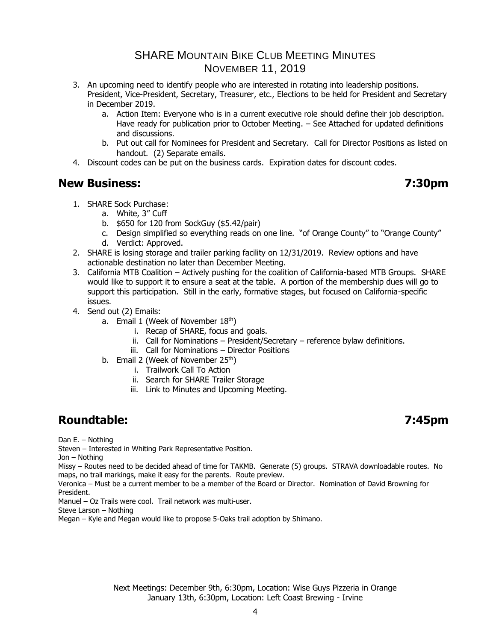- 3. An upcoming need to identify people who are interested in rotating into leadership positions. President, Vice-President, Secretary, Treasurer, etc., Elections to be held for President and Secretary in December 2019.
	- a. Action Item: Everyone who is in a current executive role should define their job description. Have ready for publication prior to October Meeting. – See Attached for updated definitions and discussions.
	- b. Put out call for Nominees for President and Secretary. Call for Director Positions as listed on handout. (2) Separate emails.
- 4. Discount codes can be put on the business cards. Expiration dates for discount codes.

## **New Business: 7:30pm**

- 1. SHARE Sock Purchase:
	- a. White, 3" Cuff
	- b. \$650 for 120 from SockGuy (\$5.42/pair)
	- c. Design simplified so everything reads on one line. "of Orange County" to "Orange County"
	- d. Verdict: Approved.
- 2. SHARE is losing storage and trailer parking facility on 12/31/2019. Review options and have actionable destination no later than December Meeting.
- 3. California MTB Coalition Actively pushing for the coalition of California-based MTB Groups. SHARE would like to support it to ensure a seat at the table. A portion of the membership dues will go to support this participation. Still in the early, formative stages, but focused on California-specific issues.
- 4. Send out (2) Emails:
	- a. Email 1 (Week of November  $18<sup>th</sup>$ )
		- i. Recap of SHARE, focus and goals.
		- ii. Call for Nominations President/Secretary reference bylaw definitions.
		- iii. Call for Nominations Director Positions
	- b. Email 2 (Week of November 25<sup>th</sup>)
		- i. Trailwork Call To Action
			- ii. Search for SHARE Trailer Storage
			- iii. Link to Minutes and Upcoming Meeting.

# **Roundtable: 7:45pm**

Dan E. – Nothing

Steven – Interested in Whiting Park Representative Position.

Jon – Nothing

Missy – Routes need to be decided ahead of time for TAKMB. Generate (5) groups. STRAVA downloadable routes. No maps, no trail markings, make it easy for the parents. Route preview.

Veronica – Must be a current member to be a member of the Board or Director. Nomination of David Browning for President.

Manuel – Oz Trails were cool. Trail network was multi-user.

Steve Larson – Nothing

Megan – Kyle and Megan would like to propose 5-Oaks trail adoption by Shimano.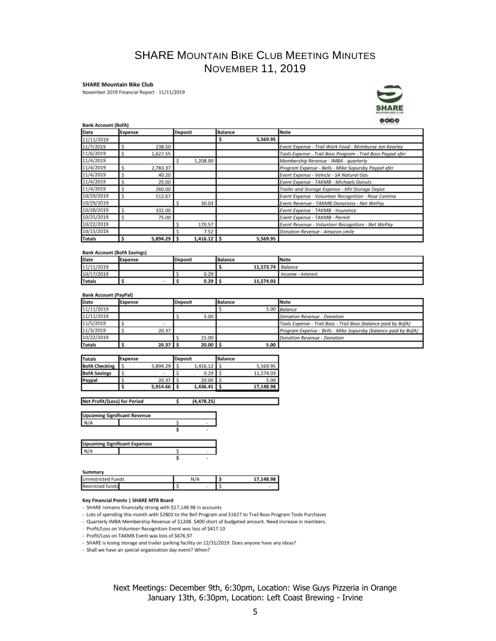### **SHARE Mountain Bike Club**

November 2019 Financial Report - 11/11/2019



### Bank Account (BofA)

| Date          | Expense |               | Deposit |               | <b>Balance</b> |          | <b>Note</b>                                                 |
|---------------|---------|---------------|---------|---------------|----------------|----------|-------------------------------------------------------------|
| 11/11/2019    |         |               |         |               |                | 5,569.95 |                                                             |
| 11/7/2019     |         | 238.50        |         |               |                |          | Event Expense - Trail Work Food - Reimburse Jon Kearley     |
| 11/6/2019     |         | 1,627.55      |         |               |                |          | Tools Expense - Trail Boss Program - Trail Boss Paypal xfer |
| 11/4/2019     |         |               |         | 1.208.00      |                |          | Membership Revenue - IMBA - quarterly                       |
| 11/4/2019     |         | 2,783.37      |         |               |                |          | Program Expense - Bells - Mike Sopursby Paypal xfer         |
| 11/4/2019     |         | 40.20         |         |               |                |          | Event Expense - Vehicle - SA Natural Gas                    |
| 11/4/2019     |         | 25.00         |         |               |                |          | Event Expense - TAKMB - Michaels Donuts                     |
| 11/4/2019     |         | 260.00        |         |               |                |          | Trailer and Storage Expense - MV Storage Depot              |
| 10/29/2019    |         | 512.67        |         |               |                |          | Event Expense - Volunteer Recognition - Rose Cantina        |
| 10/29/2019    |         |               |         | 30.03         |                |          | Event Revenue - TAKMB Donations - Net WePay                 |
| 10/28/2019    |         | 332.00        |         |               |                |          | Event Expense - TAKMB - Insurance                           |
| 10/25/2019    |         | 75.00         |         |               |                |          | Event Expense - TAKMB - Permit                              |
| 10/22/2019    |         |               |         | 170.57        |                |          | Event Revenue - Volunteer Recognition - Net WePay           |
| 10/15/2019    |         |               |         | 7.52          |                |          | Donation Revenue - Amazon.smile                             |
| <b>Totals</b> |         | $5,894.29$ \$ |         | $1,416.12$ \$ |                | 5,569.95 |                                                             |

### **Bank Account (BofA Savings)**

| Date          | Expense | Deposit | Balance           | <b>Note</b>       |
|---------------|---------|---------|-------------------|-------------------|
| 11/11/2019    |         |         | 11,573.74 Balance |                   |
| 10/17/2019    |         | 0.29    |                   | Income - Interest |
| <b>Totals</b> |         | 0.29    | 11,574.03         |                   |

### **Bank Account (PayPal)**

| Date          | Expense |       | Deposit |       | <b>Balance</b> |      | Note                                                           |
|---------------|---------|-------|---------|-------|----------------|------|----------------------------------------------------------------|
| 11/11/2019    |         |       |         |       |                |      | 5.00 Balance                                                   |
| 11/11/2019    |         |       |         | 5.00  |                |      | Donation Revenue - Donation                                    |
| 11/5/2019     |         |       |         |       |                |      | Tools Expense - Trail Boss - Trail Boss (balance paid by BofA) |
| 11/3/2019     |         | 20.37 |         |       |                |      | Program Expense - Bells - Mike Sopursby (balance paid by BofA) |
| 10/22/2019    |         |       |         | 15.00 |                |      | Donation Revenue - Donation                                    |
| <b>Totals</b> |         | 20.37 |         | 20.00 |                | 5.00 |                                                                |

| <b>Totals</b>        | Expense |             | Deposit |          | Balance |           |
|----------------------|---------|-------------|---------|----------|---------|-----------|
| <b>BofA Checking</b> |         | 5,894.29    |         | 1.416.12 |         | 5.569.95  |
| <b>BofA Savings</b>  |         |             |         | 0.29     |         | 11.574.03 |
| Paypal               |         | 20.37       |         | 20.00    |         | 5.00      |
|                      |         | 5,914.66 \$ |         | 1,436.41 |         | 17,148.98 |

Net Profit/(Loss) for Period  $(4, 478.25)$ Ś

| <b>Upcoming Significant Revenue</b> |  |
|-------------------------------------|--|
|                                     |  |
|                                     |  |

| <b>Upcoming Significant Expenses</b> |  |  |
|--------------------------------------|--|--|
| N/A                                  |  |  |
|                                      |  |  |

### Summary

| $\sim$ | Unrestricted Funds | N/A | 17 148 98 |
|--------|--------------------|-----|-----------|
|        | Restricted funds   |     |           |

### Key Financial Points | SHARE MTB Board

- SHARE remains financially strong with \$17,148.98 in accounts

- Lots of spending this month with \$2803 to the Bell Program and \$1627 to Trail Boss Program Tools Purchases

- Quarterly IMBA Membership Revenue of \$1208. \$400 short of budgeted amount. Need increase in members.

- Profit/Loss on Volunteer Recognition Event was loss of \$417.10

- Profit/Loss on TAKMB Event was loss of \$676.97

- SHARE is losing storage and trailer parking facility on 12/31/2019. Does anyone have any ideas?

- Shall we have an special organization day event? When?